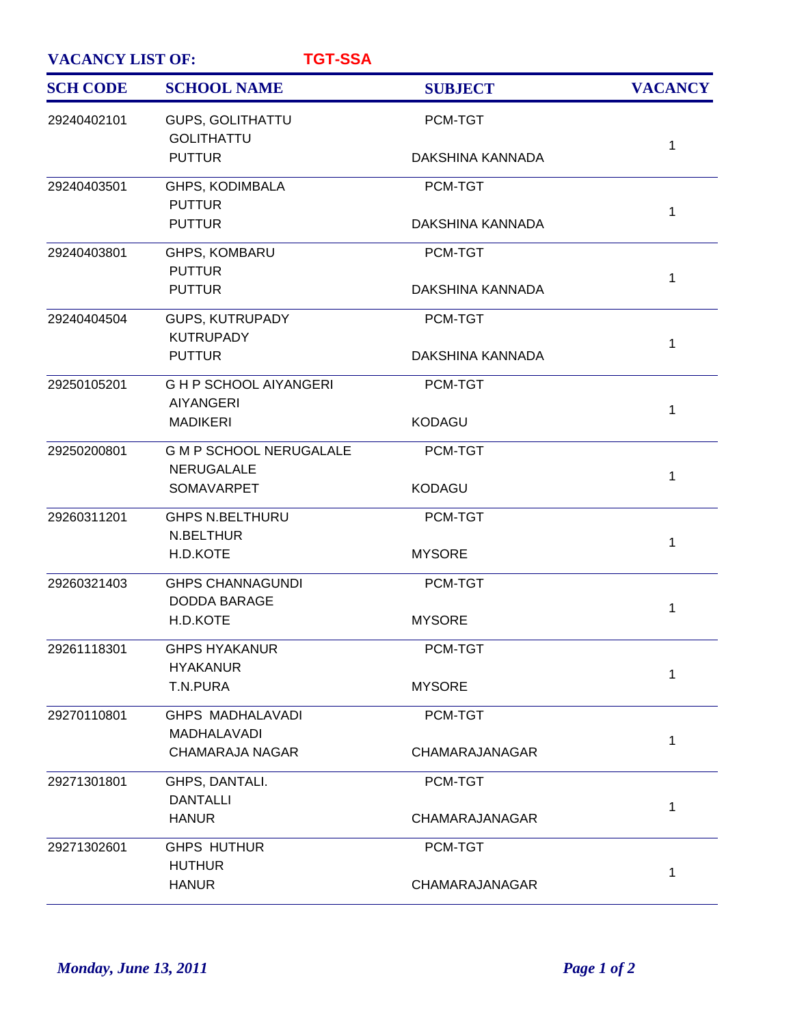| <b>VACANCY LIST OF:</b><br><b>TGT-SSA</b> |                                                 |                  |                |
|-------------------------------------------|-------------------------------------------------|------------------|----------------|
| <b>SCH CODE</b>                           | <b>SCHOOL NAME</b>                              | <b>SUBJECT</b>   | <b>VACANCY</b> |
| 29240402101                               | <b>GUPS, GOLITHATTU</b><br><b>GOLITHATTU</b>    | PCM-TGT          |                |
|                                           | <b>PUTTUR</b>                                   | DAKSHINA KANNADA | 1              |
| 29240403501                               | GHPS, KODIMBALA                                 | PCM-TGT          |                |
|                                           | <b>PUTTUR</b><br><b>PUTTUR</b>                  | DAKSHINA KANNADA | $\mathbf{1}$   |
| 29240403801                               | GHPS, KOMBARU                                   | PCM-TGT          |                |
|                                           | <b>PUTTUR</b><br><b>PUTTUR</b>                  | DAKSHINA KANNADA | $\mathbf{1}$   |
| 29240404504                               | <b>GUPS, KUTRUPADY</b><br><b>KUTRUPADY</b>      | PCM-TGT          |                |
|                                           | <b>PUTTUR</b>                                   | DAKSHINA KANNADA | $\mathbf{1}$   |
| 29250105201                               | <b>GHP SCHOOL AIYANGERI</b><br><b>AIYANGERI</b> | PCM-TGT          |                |
|                                           | <b>MADIKERI</b>                                 | <b>KODAGU</b>    | $\mathbf{1}$   |
| 29250200801                               | <b>G M P SCHOOL NERUGALALE</b><br>NERUGALALE    | PCM-TGT          |                |
|                                           | SOMAVARPET                                      | <b>KODAGU</b>    | 1              |
| 29260311201                               | <b>GHPS N.BELTHURU</b><br>N.BELTHUR             | PCM-TGT          | $\mathbf{1}$   |
|                                           | H.D.KOTE                                        | <b>MYSORE</b>    |                |
| 29260321403                               | <b>GHPS CHANNAGUNDI</b><br><b>DODDA BARAGE</b>  | PCM-TGT          | 1              |
|                                           | H.D.KOTE                                        | <b>MYSORE</b>    |                |
| 29261118301                               | <b>GHPS HYAKANUR</b><br><b>HYAKANUR</b>         | PCM-TGT          | 1              |
|                                           | T.N.PURA                                        | <b>MYSORE</b>    |                |
| 29270110801                               | <b>GHPS MADHALAVADI</b><br>MADHALAVADI          | PCM-TGT          | 1              |
|                                           | <b>CHAMARAJA NAGAR</b>                          | CHAMARAJANAGAR   |                |
| 29271301801                               | GHPS, DANTALI.<br><b>DANTALLI</b>               | PCM-TGT          |                |
|                                           | <b>HANUR</b>                                    | CHAMARAJANAGAR   | 1              |
| 29271302601                               | <b>GHPS HUTHUR</b><br><b>HUTHUR</b>             | PCM-TGT          |                |
|                                           | <b>HANUR</b>                                    | CHAMARAJANAGAR   | 1              |